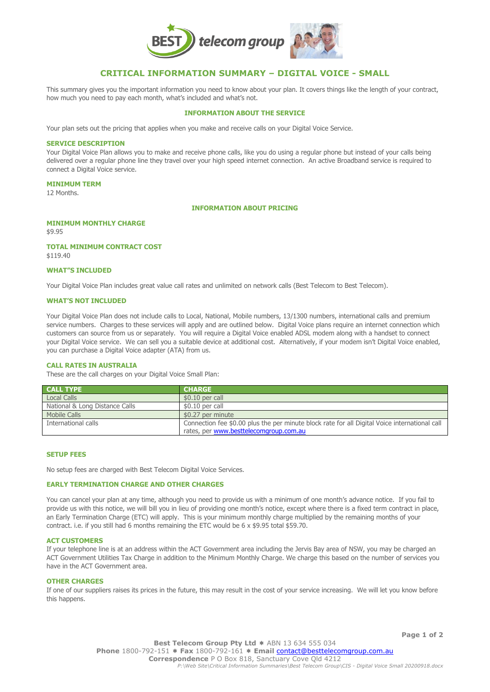

# **CRITICAL INFORMATION SUMMARY – DIGITAL VOICE - SMALL**

This summary gives you the important information you need to know about your plan. It covers things like the length of your contract, how much you need to pay each month, what's included and what's not.

# **INFORMATION ABOUT THE SERVICE**

Your plan sets out the pricing that applies when you make and receive calls on your Digital Voice Service.

#### **SERVICE DESCRIPTION**

Your Digital Voice Plan allows you to make and receive phone calls, like you do using a regular phone but instead of your calls being delivered over a regular phone line they travel over your high speed internet connection. An active Broadband service is required to connect a Digital Voice service.

#### **MINIMUM TERM**

12 Months.

#### **INFORMATION ABOUT PRICING**

# **MINIMUM MONTHLY CHARGE**

\$9.95

# **TOTAL MINIMUM CONTRACT COST**

\$119.40

# **WHAT"S INCLUDED**

Your Digital Voice Plan includes great value call rates and unlimited on network calls (Best Telecom to Best Telecom).

# **WHAT'S NOT INCLUDED**

Your Digital Voice Plan does not include calls to Local, National, Mobile numbers, 13/1300 numbers, international calls and premium service numbers. Charges to these services will apply and are outlined below. Digital Voice plans require an internet connection which customers can source from us or separately. You will require a Digital Voice enabled ADSL modem along with a handset to connect your Digital Voice service. We can sell you a suitable device at additional cost. Alternatively, if your modem isn't Digital Voice enabled, you can purchase a Digital Voice adapter (ATA) from us.

# **CALL RATES IN AUSTRALIA**

These are the call charges on your Digital Voice Small Plan:

| <b>CALL TYPE</b>               | <b>CHARGE</b>                                                                                 |
|--------------------------------|-----------------------------------------------------------------------------------------------|
| <b>Local Calls</b>             | $$0.10$ per call                                                                              |
| National & Long Distance Calls | \$0.10 per call                                                                               |
| Mobile Calls                   | \$0.27 per minute                                                                             |
| International calls            | Connection fee \$0.00 plus the per minute block rate for all Digital Voice international call |
|                                | rates, per www.besttelecomgroup.com.au                                                        |

# **SETUP FEES**

No setup fees are charged with Best Telecom Digital Voice Services.

# **EARLY TERMINATION CHARGE AND OTHER CHARGES**

You can cancel your plan at any time, although you need to provide us with a minimum of one month's advance notice. If you fail to provide us with this notice, we will bill you in lieu of providing one month's notice, except where there is a fixed term contract in place, an Early Termination Charge (ETC) will apply. This is your minimum monthly charge multiplied by the remaining months of your contract. i.e. if you still had 6 months remaining the ETC would be 6 x \$9.95 total \$59.70.

#### **ACT CUSTOMERS**

If your telephone line is at an address within the ACT Government area including the Jervis Bay area of NSW, you may be charged an ACT Government Utilities Tax Charge in addition to the Minimum Monthly Charge. We charge this based on the number of services you have in the ACT Government area.

# **OTHER CHARGES**

If one of our suppliers raises its prices in the future, this may result in the cost of your service increasing. We will let you know before this happens.